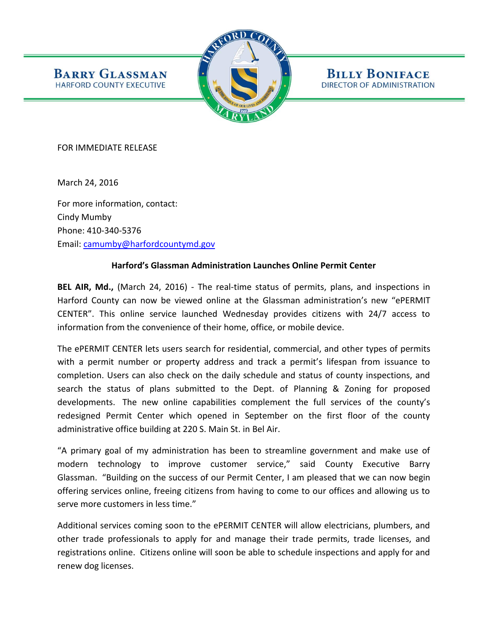

**BILLY BONIFACE** DIRECTOR OF ADMINISTRATION

FOR IMMEDIATE RELEASE

**BARRY GLASSMAN** 

HARFORD COUNTY EXECUTIVE

March 24, 2016

For more information, contact: Cindy Mumby Phone: 410-340-5376 Email: [camumby@harfordcountymd.gov](mailto:camumby@harfordcountymd.gov)

## **Harford's Glassman Administration Launches Online Permit Center**

**BEL AIR, Md.,** (March 24, 2016) - The real-time status of permits, plans, and inspections in Harford County can now be viewed online at the Glassman administration's new "ePERMIT CENTER". This online service launched Wednesday provides citizens with 24/7 access to information from the convenience of their home, office, or mobile device.

The ePERMIT CENTER lets users search for residential, commercial, and other types of permits with a permit number or property address and track a permit's lifespan from issuance to completion. Users can also check on the daily schedule and status of county inspections, and search the status of plans submitted to the Dept. of Planning & Zoning for proposed developments. The new online capabilities complement the full services of the county's redesigned Permit Center which opened in September on the first floor of the county administrative office building at 220 S. Main St. in Bel Air.

"A primary goal of my administration has been to streamline government and make use of modern technology to improve customer service," said County Executive Barry Glassman. "Building on the success of our Permit Center, I am pleased that we can now begin offering services online, freeing citizens from having to come to our offices and allowing us to serve more customers in less time."

Additional services coming soon to the ePERMIT CENTER will allow electricians, plumbers, and other trade professionals to apply for and manage their trade permits, trade licenses, and registrations online. Citizens online will soon be able to schedule inspections and apply for and renew dog licenses.